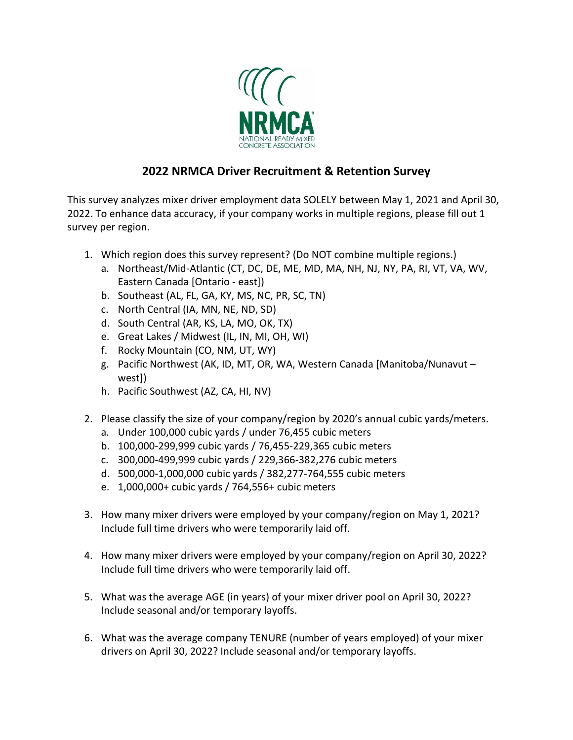

## **2022 NRMCA Driver Recruitment & Retention Survey**

This survey analyzes mixer driver employment data SOLELY between May 1, 2021 and April 30, 2022. To enhance data accuracy, if your company works in multiple regions, please fill out 1 survey per region.

- 1. Which region does this survey represent? (Do NOT combine multiple regions.)
	- a. Northeast/Mid-Atlantic (CT, DC, DE, ME, MD, MA, NH, NJ, NY, PA, RI, VT, VA, WV, Eastern Canada [Ontario - east])
	- b. Southeast (AL, FL, GA, KY, MS, NC, PR, SC, TN)
	- c. North Central (IA, MN, NE, ND, SD)
	- d. South Central (AR, KS, LA, MO, OK, TX)
	- e. Great Lakes / Midwest (IL, IN, MI, OH, WI)
	- f. Rocky Mountain (CO, NM, UT, WY)
	- g. Pacific Northwest (AK, ID, MT, OR, WA, Western Canada [Manitoba/Nunavut west])
	- h. Pacific Southwest (AZ, CA, HI, NV)
- 2. Please classify the size of your company/region by 2020's annual cubic yards/meters.
	- a. Under 100,000 cubic yards / under 76,455 cubic meters
	- b. 100,000-299,999 cubic yards / 76,455-229,365 cubic meters
	- c. 300,000-499,999 cubic yards / 229,366-382,276 cubic meters
	- d. 500,000-1,000,000 cubic yards / 382,277-764,555 cubic meters
	- e. 1,000,000+ cubic yards / 764,556+ cubic meters
- 3. How many mixer drivers were employed by your company/region on May 1, 2021? Include full time drivers who were temporarily laid off.
- 4. How many mixer drivers were employed by your company/region on April 30, 2022? Include full time drivers who were temporarily laid off.
- 5. What was the average AGE (in years) of your mixer driver pool on April 30, 2022? Include seasonal and/or temporary layoffs.
- 6. What was the average company TENURE (number of years employed) of your mixer drivers on April 30, 2022? Include seasonal and/or temporary layoffs.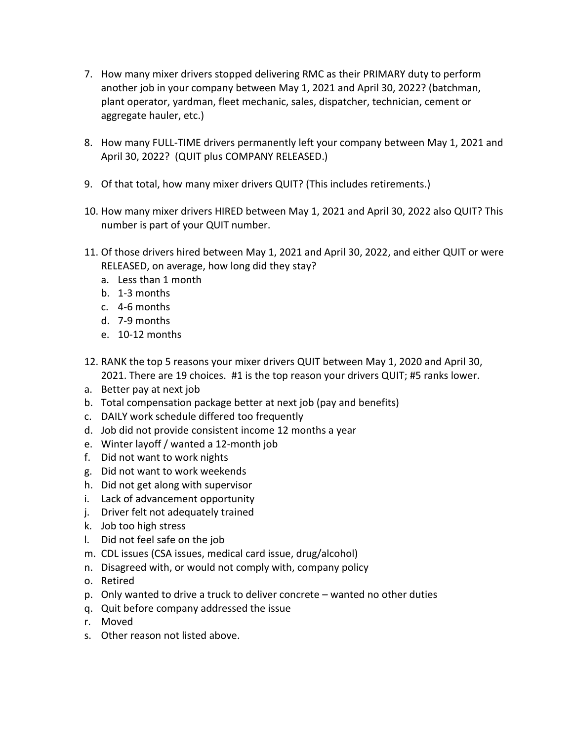- 7. How many mixer drivers stopped delivering RMC as their PRIMARY duty to perform another job in your company between May 1, 2021 and April 30, 2022? (batchman, plant operator, yardman, fleet mechanic, sales, dispatcher, technician, cement or aggregate hauler, etc.)
- 8. How many FULL-TIME drivers permanently left your company between May 1, 2021 and April 30, 2022? (QUIT plus COMPANY RELEASED.)
- 9. Of that total, how many mixer drivers QUIT? (This includes retirements.)
- 10. How many mixer drivers HIRED between May 1, 2021 and April 30, 2022 also QUIT? This number is part of your QUIT number.
- 11. Of those drivers hired between May 1, 2021 and April 30, 2022, and either QUIT or were RELEASED, on average, how long did they stay?
	- a. Less than 1 month
	- b. 1-3 months
	- c. 4-6 months
	- d. 7-9 months
	- e. 10-12 months
- 12. RANK the top 5 reasons your mixer drivers QUIT between May 1, 2020 and April 30, 2021. There are 19 choices. #1 is the top reason your drivers QUIT; #5 ranks lower.
- a. Better pay at next job
- b. Total compensation package better at next job (pay and benefits)
- c. DAILY work schedule differed too frequently
- d. Job did not provide consistent income 12 months a year
- e. Winter layoff / wanted a 12-month job
- f. Did not want to work nights
- g. Did not want to work weekends
- h. Did not get along with supervisor
- i. Lack of advancement opportunity
- j. Driver felt not adequately trained
- k. Job too high stress
- l. Did not feel safe on the job
- m. CDL issues (CSA issues, medical card issue, drug/alcohol)
- n. Disagreed with, or would not comply with, company policy
- o. Retired
- p. Only wanted to drive a truck to deliver concrete wanted no other duties
- q. Quit before company addressed the issue
- r. Moved
- s. Other reason not listed above.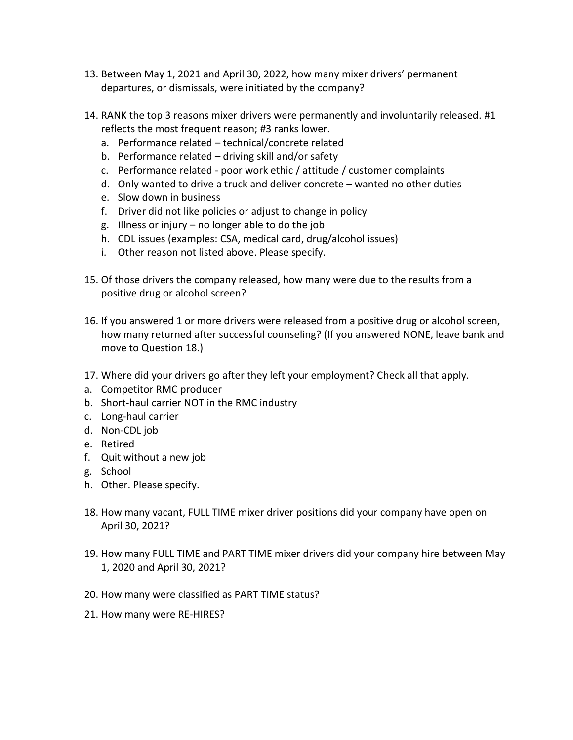- 13. Between May 1, 2021 and April 30, 2022, how many mixer drivers' permanent departures, or dismissals, were initiated by the company?
- 14. RANK the top 3 reasons mixer drivers were permanently and involuntarily released. #1 reflects the most frequent reason; #3 ranks lower.
	- a. Performance related technical/concrete related
	- b. Performance related driving skill and/or safety
	- c. Performance related poor work ethic / attitude / customer complaints
	- d. Only wanted to drive a truck and deliver concrete wanted no other duties
	- e. Slow down in business
	- f. Driver did not like policies or adjust to change in policy
	- g. Illness or injury no longer able to do the job
	- h. CDL issues (examples: CSA, medical card, drug/alcohol issues)
	- i. Other reason not listed above. Please specify.
- 15. Of those drivers the company released, how many were due to the results from a positive drug or alcohol screen?
- 16. If you answered 1 or more drivers were released from a positive drug or alcohol screen, how many returned after successful counseling? (If you answered NONE, leave bank and move to Question 18.)
- 17. Where did your drivers go after they left your employment? Check all that apply.
- a. Competitor RMC producer
- b. Short-haul carrier NOT in the RMC industry
- c. Long-haul carrier
- d. Non-CDL job
- e. Retired
- f. Quit without a new job
- g. School
- h. Other. Please specify.
- 18. How many vacant, FULL TIME mixer driver positions did your company have open on April 30, 2021?
- 19. How many FULL TIME and PART TIME mixer drivers did your company hire between May 1, 2020 and April 30, 2021?
- 20. How many were classified as PART TIME status?
- 21. How many were RE-HIRES?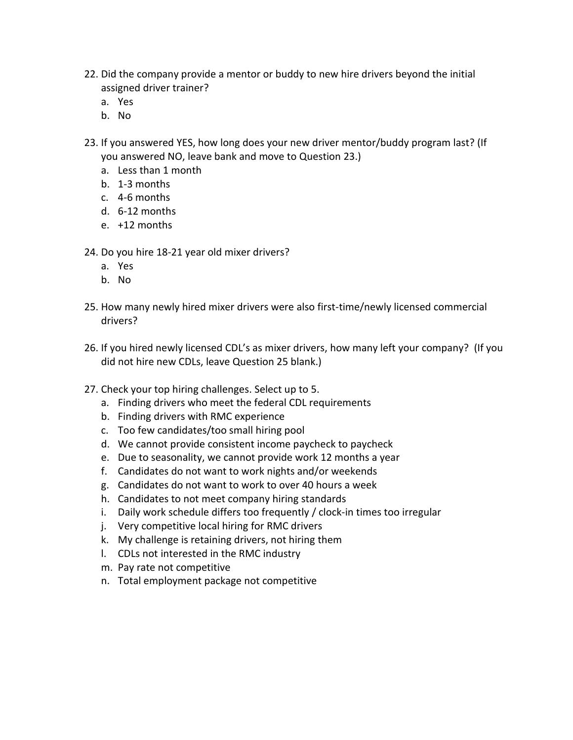- 22. Did the company provide a mentor or buddy to new hire drivers beyond the initial assigned driver trainer?
	- a. Yes
	- b. No
- 23. If you answered YES, how long does your new driver mentor/buddy program last? (If you answered NO, leave bank and move to Question 23.)
	- a. Less than 1 month
	- b. 1-3 months
	- c. 4-6 months
	- d. 6-12 months
	- e. +12 months

24. Do you hire 18-21 year old mixer drivers?

- a. Yes
- b. No
- 25. How many newly hired mixer drivers were also first-time/newly licensed commercial drivers?
- 26. If you hired newly licensed CDL's as mixer drivers, how many left your company? (If you did not hire new CDLs, leave Question 25 blank.)
- 27. Check your top hiring challenges. Select up to 5.
	- a. Finding drivers who meet the federal CDL requirements
	- b. Finding drivers with RMC experience
	- c. Too few candidates/too small hiring pool
	- d. We cannot provide consistent income paycheck to paycheck
	- e. Due to seasonality, we cannot provide work 12 months a year
	- f. Candidates do not want to work nights and/or weekends
	- g. Candidates do not want to work to over 40 hours a week
	- h. Candidates to not meet company hiring standards
	- i. Daily work schedule differs too frequently / clock-in times too irregular
	- j. Very competitive local hiring for RMC drivers
	- k. My challenge is retaining drivers, not hiring them
	- l. CDLs not interested in the RMC industry
	- m. Pay rate not competitive
	- n. Total employment package not competitive